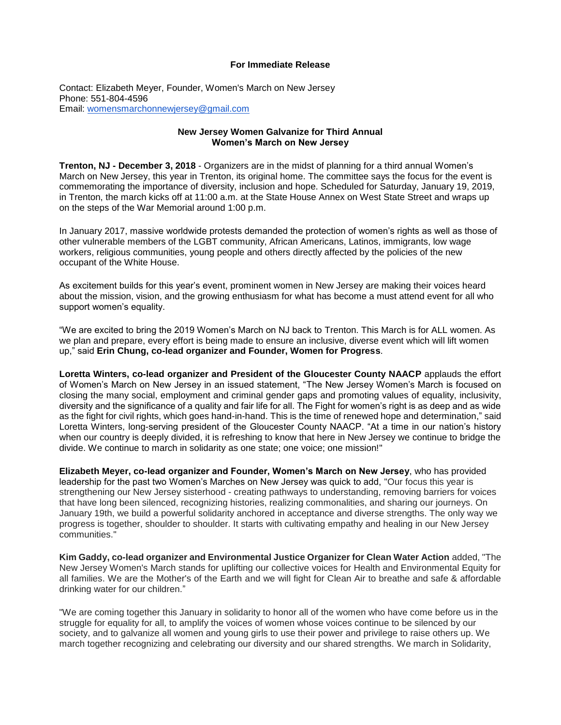## **For Immediate Release**

Contact: Elizabeth Meyer, Founder, Women's March on New Jersey Phone: 551-804-4596 Email: [womensmarchonnewjersey@gmail.com](mailto:womensmarchonnewjersey@gmail.com)

## **New Jersey Women Galvanize for Third Annual Women's March on New Jersey**

**Trenton, NJ - December 3, 2018** - Organizers are in the midst of planning for a third annual Women's March on New Jersey, this year in Trenton, its original home. The committee says the focus for the event is commemorating the importance of diversity, inclusion and hope. Scheduled for Saturday, January 19, 2019, in Trenton, the march kicks off at 11:00 a.m. at the State House Annex on West State Street and wraps up on the steps of the War Memorial around 1:00 p.m.

In January 2017, massive worldwide protests demanded the protection of women's rights as well as those of other vulnerable members of the LGBT community, African Americans, Latinos, immigrants, low wage workers, religious communities, young people and others directly affected by the policies of the new occupant of the White House.

As excitement builds for this year's event, prominent women in New Jersey are making their voices heard about the mission, vision, and the growing enthusiasm for what has become a must attend event for all who support women's equality.

"We are excited to bring the 2019 Women's March on NJ back to Trenton. This March is for ALL women. As we plan and prepare, every effort is being made to ensure an inclusive, diverse event which will lift women up," said **Erin Chung, co-lead organizer and Founder, Women for Progress**.

**Loretta Winters, co-lead organizer and President of the Gloucester County NAACP** applauds the effort of Women's March on New Jersey in an issued statement, "The New Jersey Women's March is focused on closing the many social, employment and criminal gender gaps and promoting values of equality, inclusivity, diversity and the significance of a quality and fair life for all. The Fight for women's right is as deep and as wide as the fight for civil rights, which goes hand-in-hand. This is the time of renewed hope and determination," said Loretta Winters, long-serving president of the Gloucester County NAACP. "At a time in our nation's history when our country is deeply divided, it is refreshing to know that here in New Jersey we continue to bridge the divide. We continue to march in solidarity as one state; one voice; one mission!"

**Elizabeth Meyer, co-lead organizer and Founder, Women's March on New Jersey**, who has provided leadership for the past two Women's Marches on New Jersey was quick to add, "Our focus this year is strengthening our New Jersey sisterhood - creating pathways to understanding, removing barriers for voices that have long been silenced, recognizing histories, realizing commonalities, and sharing our journeys. On January 19th, we build a powerful solidarity anchored in acceptance and diverse strengths. The only way we progress is together, shoulder to shoulder. It starts with cultivating empathy and healing in our New Jersey communities."

**Kim Gaddy, co-lead organizer and Environmental Justice Organizer for Clean Water Action** added, "The New Jersey Women's March stands for uplifting our collective voices for Health and Environmental Equity for all families. We are the Mother's of the Earth and we will fight for Clean Air to breathe and safe & affordable drinking water for our children."

"We are coming together this January in solidarity to honor all of the women who have come before us in the struggle for equality for all, to amplify the voices of women whose voices continue to be silenced by our society, and to galvanize all women and young girls to use their power and privilege to raise others up. We march together recognizing and celebrating our diversity and our shared strengths. We march in Solidarity,